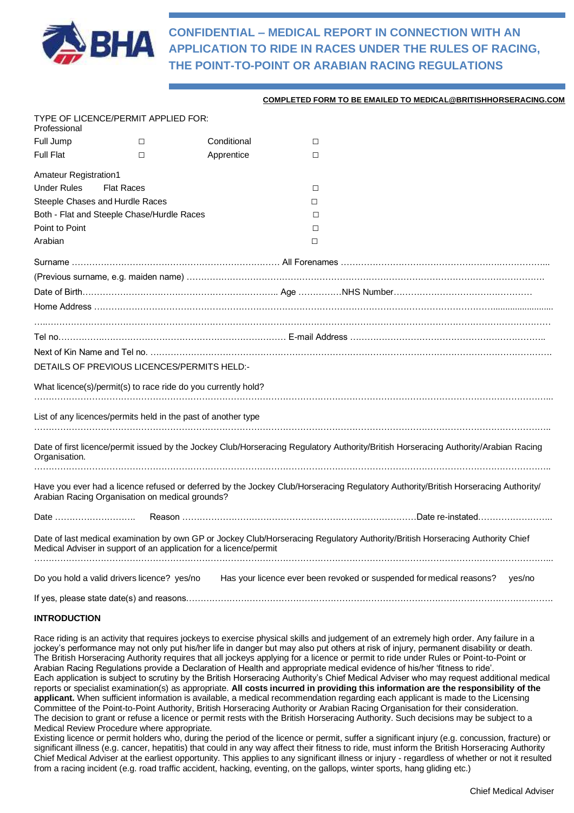

**CONFIDENTIAL – MEDICAL REPORT IN CONNECTION WITH AN APPLICATION TO RIDE IN RACES UNDER THE RULES OF RACING, THE POINT-TO-POINT OR ARABIAN RACING REGULATIONS**

### **COMPLETED FORM TO BE EMAILED TO MEDICAL@BRITISHHORSERACING.COM**

| Professional                    | TYPE OF LICENCE/PERMIT APPLIED FOR:                                                                                                                                                                 |             |        |                                                                      |        |
|---------------------------------|-----------------------------------------------------------------------------------------------------------------------------------------------------------------------------------------------------|-------------|--------|----------------------------------------------------------------------|--------|
| Full Jump                       | $\Box$                                                                                                                                                                                              | Conditional | $\Box$ |                                                                      |        |
| <b>Full Flat</b>                | П                                                                                                                                                                                                   | Apprentice  | □      |                                                                      |        |
| Amateur Registration1           |                                                                                                                                                                                                     |             |        |                                                                      |        |
| <b>Under Rules</b>              | <b>Flat Races</b>                                                                                                                                                                                   |             | П      |                                                                      |        |
| Steeple Chases and Hurdle Races |                                                                                                                                                                                                     |             | □      |                                                                      |        |
|                                 | Both - Flat and Steeple Chase/Hurdle Races                                                                                                                                                          |             | П      |                                                                      |        |
| Point to Point                  |                                                                                                                                                                                                     |             | П      |                                                                      |        |
| Arabian                         |                                                                                                                                                                                                     |             | $\Box$ |                                                                      |        |
|                                 |                                                                                                                                                                                                     |             |        |                                                                      |        |
|                                 |                                                                                                                                                                                                     |             |        |                                                                      |        |
|                                 |                                                                                                                                                                                                     |             |        |                                                                      |        |
|                                 |                                                                                                                                                                                                     |             |        |                                                                      |        |
|                                 |                                                                                                                                                                                                     |             |        |                                                                      |        |
|                                 |                                                                                                                                                                                                     |             |        |                                                                      |        |
|                                 |                                                                                                                                                                                                     |             |        |                                                                      |        |
|                                 | DETAILS OF PREVIOUS LICENCES/PERMITS HELD:-                                                                                                                                                         |             |        |                                                                      |        |
|                                 | What licence(s)/permit(s) to race ride do you currently hold?                                                                                                                                       |             |        |                                                                      |        |
|                                 | List of any licences/permits held in the past of another type                                                                                                                                       |             |        |                                                                      |        |
| Organisation.                   | Date of first licence/permit issued by the Jockey Club/Horseracing Regulatory Authority/British Horseracing Authority/Arabian Racing                                                                |             |        |                                                                      |        |
|                                 | Have you ever had a licence refused or deferred by the Jockey Club/Horseracing Regulatory Authority/British Horseracing Authority/<br>Arabian Racing Organisation on medical grounds?               |             |        |                                                                      |        |
| Date …………………………                 |                                                                                                                                                                                                     |             |        |                                                                      |        |
|                                 | Date of last medical examination by own GP or Jockey Club/Horseracing Regulatory Authority/British Horseracing Authority Chief<br>Medical Adviser in support of an application for a licence/permit |             |        |                                                                      |        |
|                                 |                                                                                                                                                                                                     |             |        |                                                                      |        |
|                                 | Do you hold a valid drivers licence? yes/no                                                                                                                                                         |             |        | Has your licence ever been revoked or suspended for medical reasons? | yes/no |
|                                 |                                                                                                                                                                                                     |             |        |                                                                      |        |

#### **INTRODUCTION**

Race riding is an activity that requires jockeys to exercise physical skills and judgement of an extremely high order. Any failure in a jockey's performance may not only put his/her life in danger but may also put others at risk of injury, permanent disability or death. The British Horseracing Authority requires that all jockeys applying for a licence or permit to ride under Rules or Point-to-Point or Arabian Racing Regulations provide a Declaration of Health and appropriate medical evidence of his/her 'fitness to ride'. Each application is subject to scrutiny by the British Horseracing Authority's Chief Medical Adviser who may request additional medical reports or specialist examination(s) as appropriate. **All costs incurred in providing this information are the responsibility of the applicant.** When sufficient information is available, a medical recommendation regarding each applicant is made to the Licensing Committee of the Point-to-Point Authority, British Horseracing Authority or Arabian Racing Organisation for their consideration. The decision to grant or refuse a licence or permit rests with the British Horseracing Authority. Such decisions may be subject to a Medical Review Procedure where appropriate.

Existing licence or permit holders who, during the period of the licence or permit, suffer a significant injury (e.g. concussion, fracture) or significant illness (e.g. cancer, hepatitis) that could in any way affect their fitness to ride, must inform the British Horseracing Authority Chief Medical Adviser at the earliest opportunity. This applies to any significant illness or injury - regardless of whether or not it resulted from a racing incident (e.g. road traffic accident, hacking, eventing, on the gallops, winter sports, hang gliding etc.)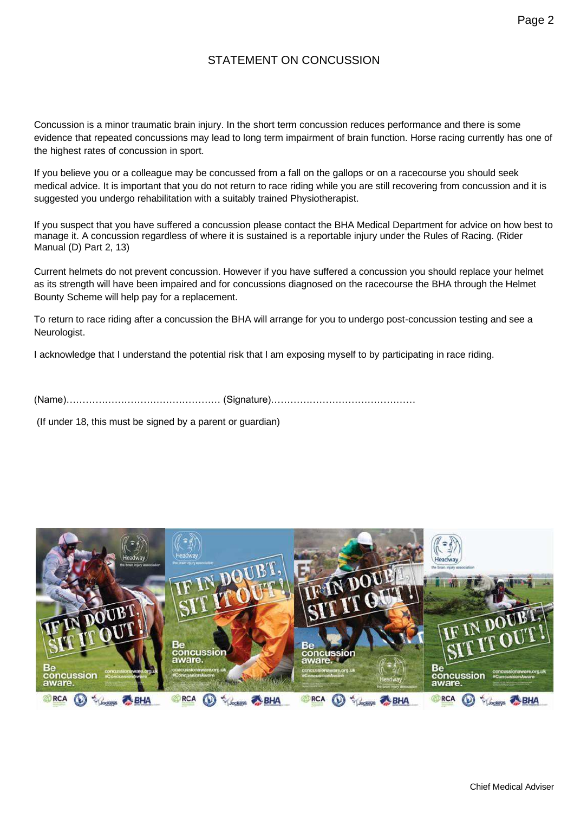## STATEMENT ON CONCUSSION

Concussion is a minor traumatic brain injury. In the short term concussion reduces performance and there is some evidence that repeated concussions may lead to long term impairment of brain function. Horse racing currently has one of the highest rates of concussion in sport.

If you believe you or a colleague may be concussed from a fall on the gallops or on a racecourse you should seek medical advice. It is important that you do not return to race riding while you are still recovering from concussion and it is suggested you undergo rehabilitation with a suitably trained Physiotherapist.

If you suspect that you have suffered a concussion please contact the BHA Medical Department for advice on how best to manage it. A concussion regardless of where it is sustained is a reportable injury under the Rules of Racing. (Rider Manual (D) Part 2, 13)

Current helmets do not prevent concussion. However if you have suffered a concussion you should replace your helmet as its strength will have been impaired and for concussions diagnosed on the racecourse the BHA through the Helmet Bounty Scheme will help pay for a replacement.

To return to race riding after a concussion the BHA will arrange for you to undergo post-concussion testing and see a Neurologist.

I acknowledge that I understand the potential risk that I am exposing myself to by participating in race riding.

(Name)………………………………………… (Signature)………………………………………

(If under 18, this must be signed by a parent or guardian)

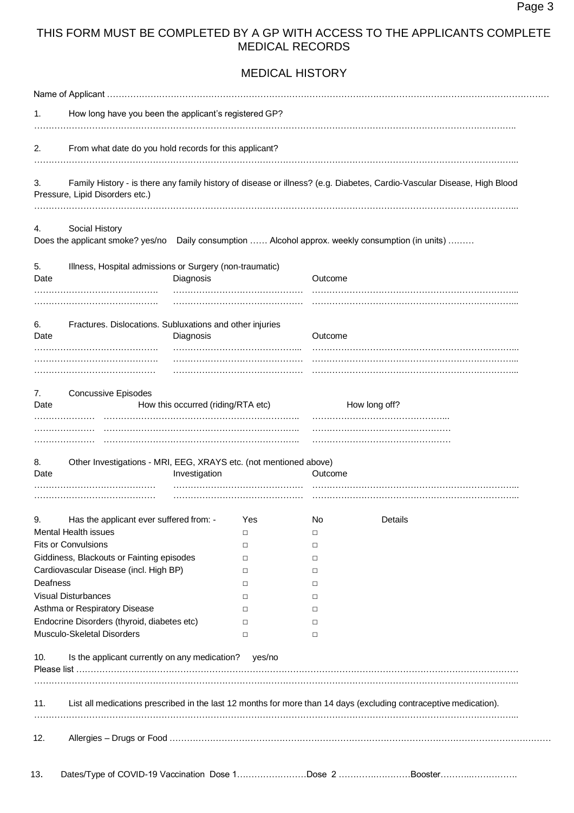## THIS FORM MUST BE COMPLETED BY A GP WITH ACCESS TO THE APPLICANTS COMPLETE MEDICAL RECORDS

MEDICAL HISTORY

| 1.                                  | How long have you been the applicant's registered GP?                                                             |          |         |                                                                                                                         |  |  |
|-------------------------------------|-------------------------------------------------------------------------------------------------------------------|----------|---------|-------------------------------------------------------------------------------------------------------------------------|--|--|
|                                     |                                                                                                                   |          |         |                                                                                                                         |  |  |
| 2.                                  | From what date do you hold records for this applicant?                                                            |          |         |                                                                                                                         |  |  |
| 3.                                  | Pressure, Lipid Disorders etc.)                                                                                   |          |         | Family History - is there any family history of disease or illness? (e.g. Diabetes, Cardio-Vascular Disease, High Blood |  |  |
| 4.                                  | Social History<br>Does the applicant smoke? yes/no                                                                |          |         | Daily consumption  Alcohol approx. weekly consumption (in units)                                                        |  |  |
| 5.<br>Date                          | Illness, Hospital admissions or Surgery (non-traumatic)<br>Diagnosis                                              |          | Outcome |                                                                                                                         |  |  |
|                                     |                                                                                                                   |          |         |                                                                                                                         |  |  |
| 6.<br>Date                          | Fractures. Dislocations. Subluxations and other injuries<br>Diagnosis                                             |          | Outcome |                                                                                                                         |  |  |
|                                     |                                                                                                                   |          |         |                                                                                                                         |  |  |
| 7.<br>Date                          | <b>Concussive Episodes</b><br>How this occurred (riding/RTA etc)                                                  |          |         | How long off?                                                                                                           |  |  |
|                                     |                                                                                                                   |          |         |                                                                                                                         |  |  |
|                                     | Other Investigations - MRI, EEG, XRAYS etc. (not mentioned above)<br>Investigation                                |          | Outcome |                                                                                                                         |  |  |
|                                     |                                                                                                                   |          |         |                                                                                                                         |  |  |
|                                     | Has the applicant ever suffered from: -                                                                           | Yes<br>□ | No      | Details                                                                                                                 |  |  |
|                                     | <b>Mental Health issues</b><br><b>Fits or Convulsions</b>                                                         | □        | □<br>□  |                                                                                                                         |  |  |
|                                     | Giddiness, Blackouts or Fainting episodes                                                                         | □        | □       |                                                                                                                         |  |  |
|                                     | Cardiovascular Disease (incl. High BP)                                                                            | $\Box$   | $\Box$  |                                                                                                                         |  |  |
|                                     |                                                                                                                   | □        | $\Box$  |                                                                                                                         |  |  |
|                                     | <b>Visual Disturbances</b>                                                                                        | $\Box$   | □       |                                                                                                                         |  |  |
|                                     | Asthma or Respiratory Disease                                                                                     | $\Box$   | $\Box$  |                                                                                                                         |  |  |
|                                     | Endocrine Disorders (thyroid, diabetes etc)                                                                       | $\Box$   | □       |                                                                                                                         |  |  |
|                                     | Musculo-Skeletal Disorders                                                                                        | $\Box$   | □       |                                                                                                                         |  |  |
| 8.<br>Date<br>9.<br>Deafness<br>10. | Is the applicant currently on any medication? yes/no                                                              |          |         |                                                                                                                         |  |  |
| 11.                                 | List all medications prescribed in the last 12 months for more than 14 days (excluding contraceptive medication). |          |         |                                                                                                                         |  |  |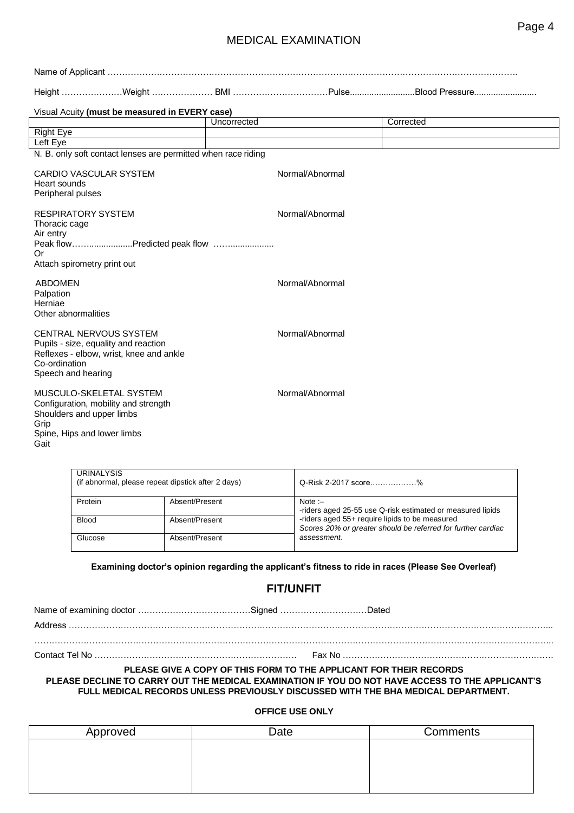## MEDICAL EXAMINATION

|                                                                          | Visual Acuity (must be measured in EVERY case)                                                            |             |                 |           |
|--------------------------------------------------------------------------|-----------------------------------------------------------------------------------------------------------|-------------|-----------------|-----------|
|                                                                          |                                                                                                           | Uncorrected |                 | Corrected |
| <b>Right Eye</b>                                                         |                                                                                                           |             |                 |           |
| Left Eye                                                                 |                                                                                                           |             |                 |           |
|                                                                          | N. B. only soft contact lenses are permitted when race riding                                             |             |                 |           |
| Heart sounds<br>Peripheral pulses                                        | <b>CARDIO VASCULAR SYSTEM</b>                                                                             |             | Normal/Abnormal |           |
| <b>RESPIRATORY SYSTEM</b><br>Thoracic cage<br>Air entry                  | Peak flowPredicted peak flow                                                                              |             | Normal/Abnormal |           |
| Or<br>Attach spirometry print out                                        |                                                                                                           |             |                 |           |
| <b>ABDOMEN</b><br>Palpation<br>Herniae<br>Other abnormalities            |                                                                                                           |             | Normal/Abnormal |           |
| Co-ordination<br>Speech and hearing                                      | CENTRAL NERVOUS SYSTEM<br>Pupils - size, equality and reaction<br>Reflexes - elbow, wrist, knee and ankle |             | Normal/Abnormal |           |
| Shoulders and upper limbs<br>Grip<br>Spine, Hips and lower limbs<br>Gait | MUSCULO-SKELETAL SYSTEM<br>Configuration, mobility and strength                                           |             | Normal/Abnormal |           |

| <b>URINALYSIS</b><br>(if abnormal, please repeat dipstick after 2 days) |                | Q-Risk 2-2017 score%                                                                                           |
|-------------------------------------------------------------------------|----------------|----------------------------------------------------------------------------------------------------------------|
| Protein                                                                 | Absent/Present | Note : $-$<br>-riders aged 25-55 use Q-risk estimated or measured lipids                                       |
| <b>Blood</b>                                                            | Absent/Present | -riders aged 55+ require lipids to be measured<br>Scores 20% or greater should be referred for further cardiac |
| Glucose                                                                 | Absent/Present | assessment.                                                                                                    |

### **Examining doctor's opinion regarding the applicant's fitness to ride in races (Please See Overleaf)**

# **FIT/UNFIT**

Name of examining doctor …………………………………Signed …………………………Dated

Address …………………………………………………………………………………………………………………………………………………...

……………………………………………………………………………………………………………………………………………………………...

Contact Tel No ……………………………………………………………. Fax No ……………………………………………………………….

### **PLEASE GIVE A COPY OF THIS FORM TO THE APPLICANT FOR THEIR RECORDS PLEASE DECLINE TO CARRY OUT THE MEDICAL EXAMINATION IF YOU DO NOT HAVE ACCESS TO THE APPLICANT'S FULL MEDICAL RECORDS UNLESS PREVIOUSLY DISCUSSED WITH THE BHA MEDICAL DEPARTMENT.**

### **OFFICE USE ONLY**

| Approved | Date | Comments |
|----------|------|----------|
|          |      |          |
|          |      |          |
|          |      |          |
|          |      |          |